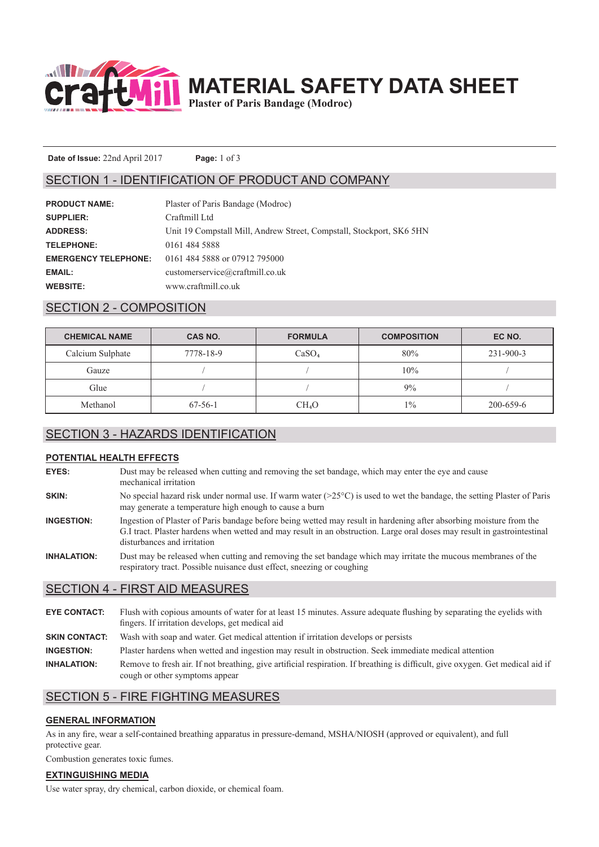

**MATERIAL SAFETY DATA SHEET**

**Plaster of Paris Bandage (Modroc)**

**Date of Issue:** 22nd April 2017 **Page:** 1 of 3

### SECTION 1 - IDENTIFICATION OF PRODUCT AND COMPANY

| <b>PRODUCT NAME:</b>        | Plaster of Paris Bandage (Modroc)                                    |
|-----------------------------|----------------------------------------------------------------------|
| <b>SUPPLIER:</b>            | Craftmill Ltd                                                        |
| <b>ADDRESS:</b>             | Unit 19 Compstall Mill, Andrew Street, Compstall, Stockport, SK6 5HN |
| <b>TELEPHONE:</b>           | 0161 484 5888                                                        |
| <b>EMERGENCY TELEPHONE:</b> | 0161 484 5888 or 07912 795000                                        |
| EMAIL:                      | customerservice@craftmill.co.uk                                      |
| <b>WEBSITE:</b>             | www.craftmill.co.uk                                                  |

# SECTION 2 - COMPOSITION

| <b>CHEMICAL NAME</b> | CAS NO.       | <b>FORMULA</b>    | <b>COMPOSITION</b> | EC NO.    |
|----------------------|---------------|-------------------|--------------------|-----------|
| Calcium Sulphate     | 7778-18-9     | CaSO <sub>4</sub> | 80%                | 231-900-3 |
| Gauze                |               |                   | 10%                |           |
| Glue                 |               |                   | 9%                 |           |
| Methanol             | $67 - 56 - 1$ | CH <sub>4</sub> O | $1\%$              | 200-659-6 |

### SECTION 3 - HAZARDS IDENTIFICATION

#### **POTENTIAL HEALTH EFFECTS**

| EYES: | Dust may be released when cutting and removing the set bandage, which may enter the eye and cause<br>mechanical irritation       |
|-------|----------------------------------------------------------------------------------------------------------------------------------|
| SKIN: | No special hazard risk under normal use. If warm water $(>25^{\circ}C)$ is used to wet the bandage, the setting Plaster of Paris |
|       | may generate a temperature high enough to cause a burn                                                                           |

- **INGESTION:** Ingestion of Plaster of Paris bandage before being wetted may result in hardening after absorbing moisture from the G.I tract. Plaster hardens when wetted and may result in an obstruction. Large oral doses may result in gastrointestinal disturbances and irritation
- **INHALATION:** Dust may be released when cutting and removing the set bandage which may irritate the mucous membranes of the respiratory tract. Possible nuisance dust effect, sneezing or coughing

### SECTION 4 - FIRST AID MEASURES

**EYE CONTACT:** Flush with copious amounts of water for at least 15 minutes. Assure adequate flushing by separating the eyelids with fingers. If irritation develops, get medical aid **SKIN CONTACT:** Wash with soap and water. Get medical attention if irritation develops or persists **INGESTION:** Plaster hardens when wetted and ingestion may result in obstruction. Seek immediate medical attention **INHALATION:** Remove to fresh air. If not breathing, give artificial respiration. If breathing is difficult, give oxygen. Get medical aid if

### SECTION 5 - FIRE FIGHTING MEASURES

cough or other symptoms appear

#### **GENERAL INFORMATION**

As in any fire, wear a self-contained breathing apparatus in pressure-demand, MSHA/NIOSH (approved or equivalent), and full protective gear.

Combustion generates toxic fumes.

#### **EXTINGUISHING MEDIA**

Use water spray, dry chemical, carbon dioxide, or chemical foam.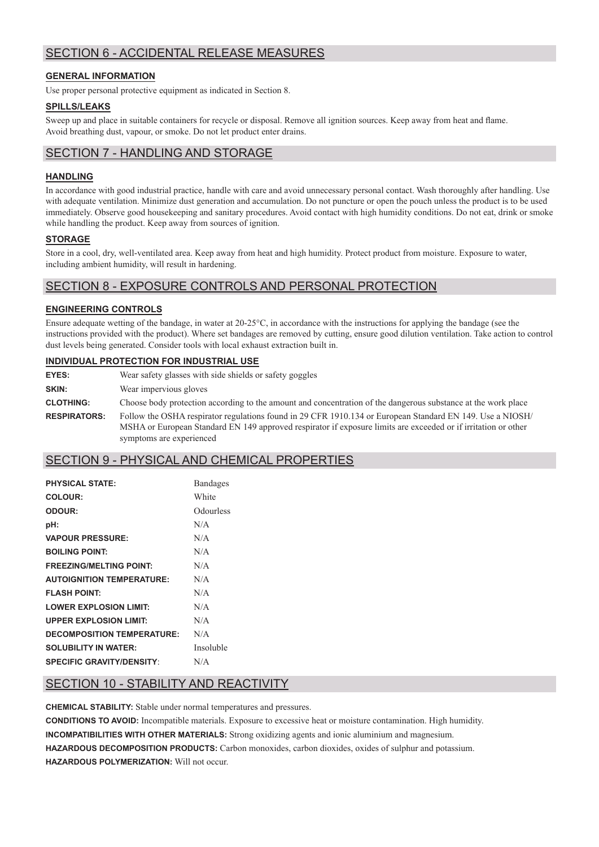# SECTION 6 - ACCIDENTAL RELEASE MEASURES

#### **GENERAL INFORMATION**

Use proper personal protective equipment as indicated in Section 8.

#### **SPILLS/LEAKS**

Sweep up and place in suitable containers for recycle or disposal. Remove all ignition sources. Keep away from heat and flame. Avoid breathing dust, vapour, or smoke. Do not let product enter drains.

# SECTION 7 - HANDLING AND STORAGE

#### **HANDLING**

In accordance with good industrial practice, handle with care and avoid unnecessary personal contact. Wash thoroughly after handling. Use with adequate ventilation. Minimize dust generation and accumulation. Do not puncture or open the pouch unless the product is to be used immediately. Observe good housekeeping and sanitary procedures. Avoid contact with high humidity conditions. Do not eat, drink or smoke while handling the product. Keep away from sources of ignition.

#### **STORAGE**

Store in a cool, dry, well-ventilated area. Keep away from heat and high humidity. Protect product from moisture. Exposure to water, including ambient humidity, will result in hardening.

# SECTION 8 - EXPOSURE CONTROLS AND PERSONAL PROTECTION

#### **ENGINEERING CONTROLS**

Ensure adequate wetting of the bandage, in water at 20-25°C, in accordance with the instructions for applying the bandage (see the instructions provided with the product). Where set bandages are removed by cutting, ensure good dilution ventilation. Take action to control dust levels being generated. Consider tools with local exhaust extraction built in.

#### **INDIVIDUAL PROTECTION FOR INDUSTRIAL USE**

| EYES:               | Wear safety glasses with side shields or safety goggles                                                                                                                                                                                                 |
|---------------------|---------------------------------------------------------------------------------------------------------------------------------------------------------------------------------------------------------------------------------------------------------|
| SKIN:               | Wear impervious gloves                                                                                                                                                                                                                                  |
| <b>CLOTHING:</b>    | Choose body protection according to the amount and concentration of the dangerous substance at the work place                                                                                                                                           |
| <b>RESPIRATORS:</b> | Follow the OSHA respirator regulations found in 29 CFR 1910.134 or European Standard EN 149. Use a NIOSH/<br>MSHA or European Standard EN 149 approved respirator if exposure limits are exceeded or if irritation or other<br>symptoms are experienced |

### SECTION 9 - PHYSICAL AND CHEMICAL PROPERTIES

| <b>PHYSICAL STATE:</b>            | <b>Bandages</b> |
|-----------------------------------|-----------------|
| COLOUR:                           | White           |
| ODOUR:                            | Odourless       |
| pH:                               | N/A             |
| <b>VAPOUR PRESSURE:</b>           | N/A             |
| <b>BOILING POINT:</b>             | N/A             |
| <b>FREEZING/MELTING POINT:</b>    | N/A             |
| <b>AUTOIGNITION TEMPERATURE:</b>  | N/A             |
| <b>FLASH POINT:</b>               | N/A             |
| <b>LOWER EXPLOSION LIMIT:</b>     | N/A             |
| <b>UPPER EXPLOSION LIMIT:</b>     | N/A             |
| <b>DECOMPOSITION TEMPERATURE:</b> | N/A             |
| <b>SOLUBILITY IN WATER:</b>       | Insoluble       |
| <b>SPECIFIC GRAVITY/DENSITY:</b>  | N/A             |

# SECTION 10 - STABILITY AND REACTIVITY

**CHEMICAL STABILITY:** Stable under normal temperatures and pressures.

**CONDITIONS TO AVOID:** Incompatible materials. Exposure to excessive heat or moisture contamination. High humidity. **INCOMPATIBILITIES WITH OTHER MATERIALS:** Strong oxidizing agents and ionic aluminium and magnesium. **HAZARDOUS DECOMPOSITION PRODUCTS:** Carbon monoxides, carbon dioxides, oxides of sulphur and potassium. **HAZARDOUS POLYMERIZATION:** Will not occur.